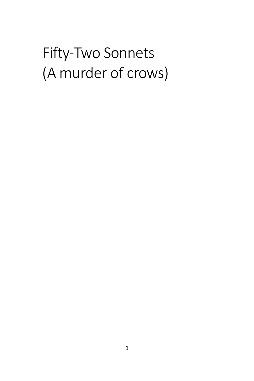## Fifty-Two Sonnets (A murder of crows)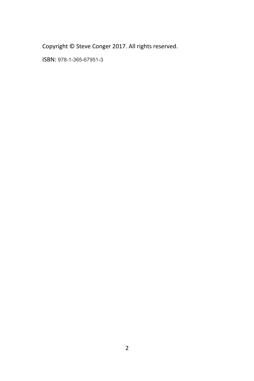Copyright © Steve Conger 2017. All rights reserved.

ISBN: 978-1-365-67951-3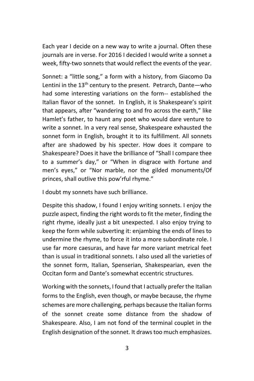Each year I decide on a new way to write a journal. Often these journals are in verse. For 2016 I decided I would write a sonnet a week, fifty-two sonnets that would reflect the events of the year.

Sonnet: a "little song," a form with a history, from Giacomo Da Lentini in the  $13<sup>th</sup>$  century to the present. Petrarch, Dante—who had some interesting variations on the form-- established the Italian flavor of the sonnet. In English, it is Shakespeare's spirit that appears, after "wandering to and fro across the earth," like Hamlet's father, to haunt any poet who would dare venture to write a sonnet. In a very real sense, Shakespeare exhausted the sonnet form in English, brought it to its fulfillment. All sonnets after are shadowed by his specter. How does it compare to Shakespeare? Does it have the brilliance of "Shall I compare thee to a summer's day," or "When in disgrace with Fortune and men's eyes," or "Nor marble, nor the gilded monuments/Of princes, shall outlive this pow'rful rhyme."

I doubt my sonnets have such brilliance.

Despite this shadow, I found I enjoy writing sonnets. I enjoy the puzzle aspect, finding the right words to fit the meter, finding the right rhyme, ideally just a bit unexpected. I also enjoy trying to keep the form while subverting it: enjambing the ends of lines to undermine the rhyme, to force it into a more subordinate role. I use far more caesuras, and have far more variant metrical feet than is usual in traditional sonnets. I also used all the varieties of the sonnet form, Italian, Spenserian, Shakespearian, even the Occitan form and Dante's somewhat eccentric structures.

Working with the sonnets, I found that I actually prefer the Italian forms to the English, even though, or maybe because, the rhyme schemes are more challenging, perhaps because the Italian forms of the sonnet create some distance from the shadow of Shakespeare. Also, I am not fond of the terminal couplet in the English designation of the sonnet. It draws too much emphasizes.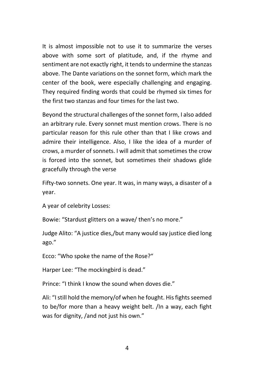It is almost impossible not to use it to summarize the verses above with some sort of platitude, and, if the rhyme and sentiment are not exactly right, it tends to undermine the stanzas above. The Dante variations on the sonnet form, which mark the center of the book, were especially challenging and engaging. They required finding words that could be rhymed six times for the first two stanzas and four times for the last two.

Beyond the structural challenges of the sonnet form, I also added an arbitrary rule. Every sonnet must mention crows. There is no particular reason for this rule other than that I like crows and admire their intelligence. Also, I like the idea of a murder of crows, a murder of sonnets. I will admit that sometimes the crow is forced into the sonnet, but sometimes their shadows glide gracefully through the verse

Fifty-two sonnets. One year. It was, in many ways, a disaster of a year.

A year of celebrity Losses:

Bowie: "Stardust glitters on a wave/ then's no more."

Judge Alito: "A justice dies,/but many would say justice died long ago."

Ecco: "Who spoke the name of the Rose?"

Harper Lee: "The mockingbird is dead."

Prince: "I think I know the sound when doves die."

Ali: "I still hold the memory/of when he fought. His fights seemed to be/for more than a heavy weight belt. /In a way, each fight was for dignity, /and not just his own."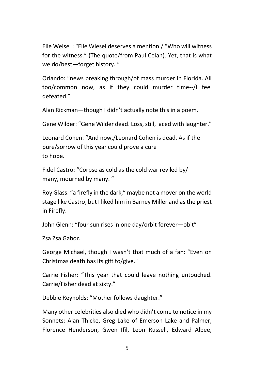Elie Weisel : "Elie Wiesel deserves a mention./ "Who will witness for the witness." (The quote/from Paul Celan). Yet, that is what we do/best—forget history. "

Orlando: "news breaking through/of mass murder in Florida. All too/common now, as if they could murder time--/I feel defeated."

Alan Rickman—though I didn't actually note this in a poem.

Gene Wilder: "Gene Wilder dead. Loss, still, laced with laughter."

Leonard Cohen: "And now,/Leonard Cohen is dead. As if the pure/sorrow of this year could prove a cure to hope.

Fidel Castro: "Corpse as cold as the cold war reviled by/ many, mourned by many. "

Roy Glass: "a firefly in the dark," maybe not a mover on the world stage like Castro, but I liked him in Barney Miller and as the priest in Firefly.

John Glenn: "four sun rises in one day/orbit forever—obit"

Zsa Zsa Gabor.

George Michael, though I wasn't that much of a fan: "Even on Christmas death has its gift to/give."

Carrie Fisher: "This year that could leave nothing untouched. Carrie/Fisher dead at sixty."

Debbie Reynolds: "Mother follows daughter."

Many other celebrities also died who didn't come to notice in my Sonnets: Alan Thicke, Greg Lake of Emerson Lake and Palmer, Florence Henderson, Gwen Ifil, Leon Russell, Edward Albee,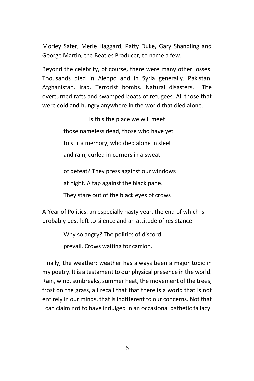Morley Safer, Merle Haggard, Patty Duke, Gary Shandling and George Martin, the Beatles Producer, to name a few.

Beyond the celebrity, of course, there were many other losses. Thousands died in Aleppo and in Syria generally. Pakistan. Afghanistan. Iraq. Terrorist bombs. Natural disasters. The overturned rafts and swamped boats of refugees. All those that were cold and hungry anywhere in the world that died alone.

> Is this the place we will meet those nameless dead, those who have yet to stir a memory, who died alone in sleet and rain, curled in corners in a sweat of defeat? They press against our windows

at night. A tap against the black pane.

They stare out of the black eyes of crows

A Year of Politics: an especially nasty year, the end of which is probably best left to silence and an attitude of resistance.

Why so angry? The politics of discord

prevail. Crows waiting for carrion.

Finally, the weather: weather has always been a major topic in my poetry. It is a testament to our physical presence in the world. Rain, wind, sunbreaks, summer heat, the movement of the trees, frost on the grass, all recall that that there is a world that is not entirely in our minds, that is indifferent to our concerns. Not that I can claim not to have indulged in an occasional pathetic fallacy.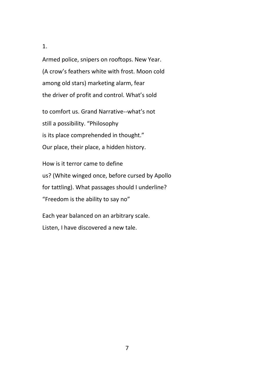Armed police, snipers on rooftops. New Year. (A crow's feathers white with frost. Moon cold among old stars) marketing alarm, fear the driver of profit and control. What's sold

to comfort us. Grand Narrative--what's not still a possibility. "Philosophy is its place comprehended in thought." Our place, their place, a hidden history.

How is it terror came to define us? (White winged once, before cursed by Apollo for tattling). What passages should I underline? "Freedom is the ability to say no"

Each year balanced on an arbitrary scale. Listen, I have discovered a new tale.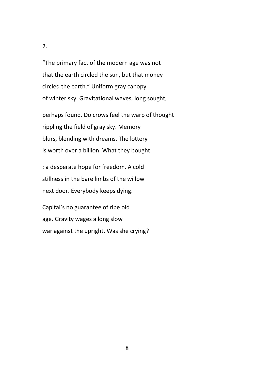"The primary fact of the modern age was not that the earth circled the sun, but that money circled the earth." Uniform gray canopy of winter sky. Gravitational waves, long sought,

perhaps found. Do crows feel the warp of thought rippling the field of gray sky. Memory blurs, blending with dreams. The lottery is worth over a billion. What they bought

: a desperate hope for freedom. A cold stillness in the bare limbs of the willow next door. Everybody keeps dying.

Capital's no guarantee of ripe old age. Gravity wages a long slow war against the upright. Was she crying?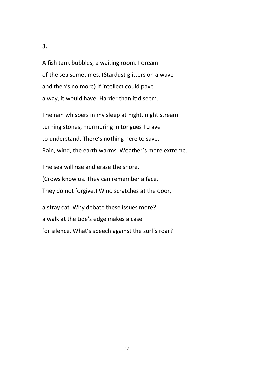A fish tank bubbles, a waiting room. I dream of the sea sometimes. (Stardust glitters on a wave and then's no more) If intellect could pave a way, it would have. Harder than it'd seem.

The rain whispers in my sleep at night, night stream turning stones, murmuring in tongues I crave to understand. There's nothing here to save. Rain, wind, the earth warms. Weather's more extreme.

The sea will rise and erase the shore. (Crows know us. They can remember a face. They do not forgive.) Wind scratches at the door,

a stray cat. Why debate these issues more? a walk at the tide's edge makes a case for silence. What's speech against the surf's roar?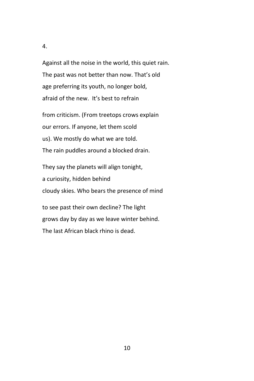Against all the noise in the world, this quiet rain. The past was not better than now. That's old age preferring its youth, no longer bold, afraid of the new. It's best to refrain

from criticism. (From treetops crows explain our errors. If anyone, let them scold us). We mostly do what we are told. The rain puddles around a blocked drain.

They say the planets will align tonight, a curiosity, hidden behind cloudy skies. Who bears the presence of mind

to see past their own decline? The light grows day by day as we leave winter behind. The last African black rhino is dead.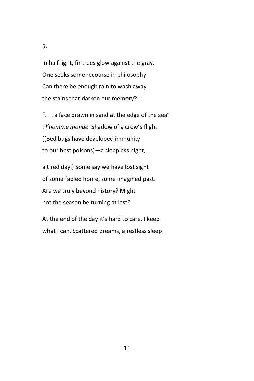In half light, fir trees glow against the gray. One seeks some recourse in philosophy. Can there be enough rain to wash away the stains that darken our memory?

". . . a face drawn in sand at the edge of the sea" : *l'homme monde*. Shadow of a crow's flight. ((Bed bugs have developed immunity to our best poisons)—a sleepless night,

a tired day.) Some say we have lost sight of some fabled home, some imagined past. Are we truly beyond history? Might not the season be turning at last?

At the end of the day it's hard to care. I keep what I can. Scattered dreams, a restless sleep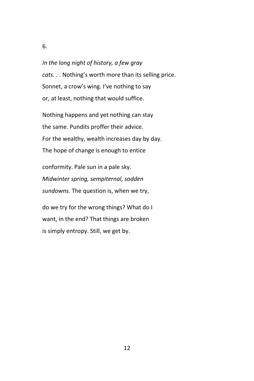*In the long night of history, a few gray cats. . .* Nothing's worth more than its selling price. Sonnet, a crow's wing. I've nothing to say or, at least, nothing that would suffice.

Nothing happens and yet nothing can stay the same. Pundits proffer their advice. For the wealthy, wealth increases day by day. The hope of change is enough to entice

conformity. Pale sun in a pale sky. *Midwinter spring, sempiternal, sodden sundowns.* The question is, when we try,

do we try for the wrong things? What do I want, in the end? That things are broken is simply entropy. Still, we get by.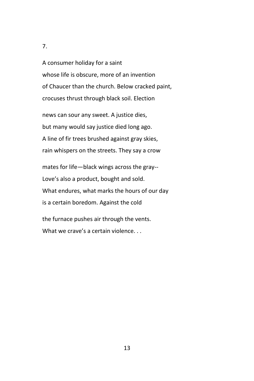A consumer holiday for a saint whose life is obscure, more of an invention of Chaucer than the church. Below cracked paint, crocuses thrust through black soil. Election

news can sour any sweet. A justice dies, but many would say justice died long ago. A line of fir trees brushed against gray skies, rain whispers on the streets. They say a crow

mates for life—black wings across the gray-- Love's also a product, bought and sold. What endures, what marks the hours of our day is a certain boredom. Against the cold

the furnace pushes air through the vents. What we crave's a certain violence...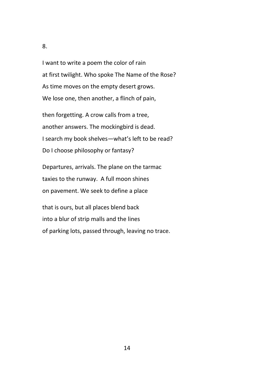I want to write a poem the color of rain at first twilight. Who spoke The Name of the Rose? As time moves on the empty desert grows. We lose one, then another, a flinch of pain,

then forgetting. A crow calls from a tree, another answers. The mockingbird is dead. I search my book shelves—what's left to be read? Do I choose philosophy or fantasy?

Departures, arrivals. The plane on the tarmac taxies to the runway. A full moon shines on pavement. We seek to define a place

that is ours, but all places blend back into a blur of strip malls and the lines of parking lots, passed through, leaving no trace.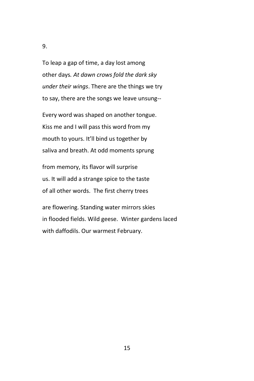To leap a gap of time, a day lost among other days*. At dawn crows fold the dark sky under their wings*. There are the things we try to say, there are the songs we leave unsung--

Every word was shaped on another tongue. Kiss me and I will pass this word from my mouth to yours. It'll bind us together by saliva and breath. At odd moments sprung

from memory, its flavor will surprise us. It will add a strange spice to the taste of all other words. The first cherry trees

are flowering. Standing water mirrors skies in flooded fields. Wild geese. Winter gardens laced with daffodils. Our warmest February.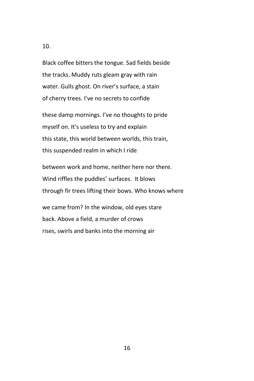Black coffee bitters the tongue. Sad fields beside the tracks. Muddy ruts gleam gray with rain water. Gulls ghost. On river's surface, a stain of cherry trees. I've no secrets to confide

these damp mornings. I've no thoughts to pride myself on. It's useless to try and explain this state, this world between worlds, this train, this suspended realm in which I ride

between work and home, neither here nor there. Wind riffles the puddles' surfaces. It blows through fir trees lifting their bows. Who knows where

we came from? In the window, old eyes stare back. Above a field, a murder of crows rises, swirls and banks into the morning air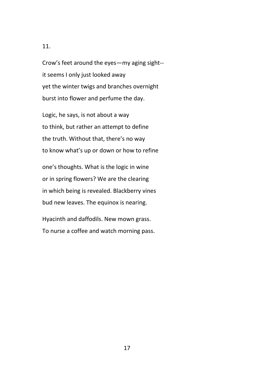Crow's feet around the eyes—my aging sight- it seems I only just looked away yet the winter twigs and branches overnight burst into flower and perfume the day.

Logic, he says, is not about a way to think, but rather an attempt to define the truth. Without that, there's no way to know what's up or down or how to refine

one's thoughts. What is the logic in wine or in spring flowers? We are the clearing in which being is revealed. Blackberry vines bud new leaves. The equinox is nearing.

Hyacinth and daffodils. New mown grass. To nurse a coffee and watch morning pass.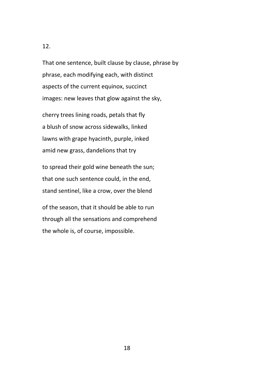That one sentence, built clause by clause, phrase by phrase, each modifying each, with distinct aspects of the current equinox, succinct images: new leaves that glow against the sky,

cherry trees lining roads, petals that fly a blush of snow across sidewalks, linked lawns with grape hyacinth, purple, inked amid new grass, dandelions that try

to spread their gold wine beneath the sun; that one such sentence could, in the end, stand sentinel, like a crow, over the blend

of the season, that it should be able to run through all the sensations and comprehend the whole is, of course, impossible.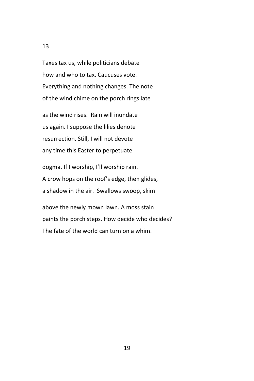Taxes tax us, while politicians debate how and who to tax. Caucuses vote. Everything and nothing changes. The note of the wind chime on the porch rings late

as the wind rises. Rain will inundate us again. I suppose the lilies denote resurrection. Still, I will not devote any time this Easter to perpetuate

dogma. If I worship, I'll worship rain. A crow hops on the roof's edge, then glides, a shadow in the air. Swallows swoop, skim

above the newly mown lawn. A moss stain paints the porch steps. How decide who decides? The fate of the world can turn on a whim.

13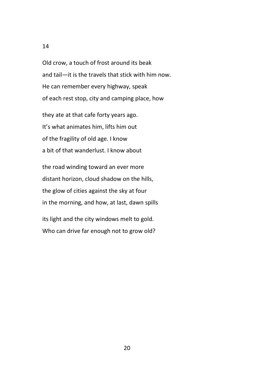## 14

Old crow, a touch of frost around its beak and tail—it is the travels that stick with him now. He can remember every highway, speak of each rest stop, city and camping place, how

they ate at that cafe forty years ago. It's what animates him, lifts him out of the fragility of old age. I know a bit of that wanderlust. I know about

the road winding toward an ever more distant horizon, cloud shadow on the hills, the glow of cities against the sky at four in the morning, and how, at last, dawn spills

its light and the city windows melt to gold. Who can drive far enough not to grow old?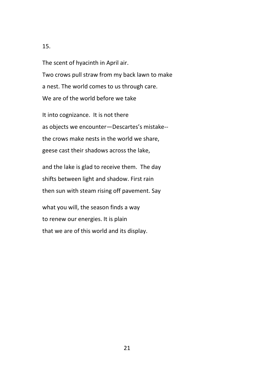The scent of hyacinth in April air. Two crows pull straw from my back lawn to make a nest. The world comes to us through care. We are of the world before we take

It into cognizance. It is not there as objects we encounter—Descartes's mistake- the crows make nests in the world we share, geese cast their shadows across the lake,

and the lake is glad to receive them. The day shifts between light and shadow. First rain then sun with steam rising off pavement. Say

what you will, the season finds a way to renew our energies. It is plain that we are of this world and its display.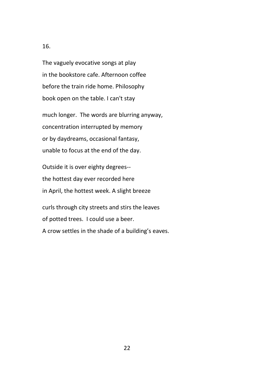The vaguely evocative songs at play in the bookstore cafe. Afternoon coffee before the train ride home. Philosophy book open on the table. I can't stay

much longer. The words are blurring anyway, concentration interrupted by memory or by daydreams, occasional fantasy, unable to focus at the end of the day.

Outside it is over eighty degrees- the hottest day ever recorded here in April, the hottest week. A slight breeze

curls through city streets and stirs the leaves of potted trees. I could use a beer. A crow settles in the shade of a building's eaves.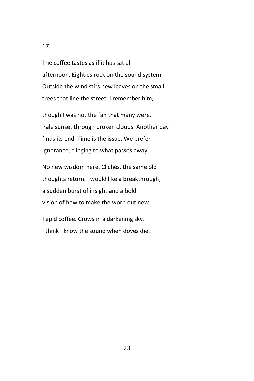The coffee tastes as if it has sat all afternoon. Eighties rock on the sound system. Outside the wind stirs new leaves on the small trees that line the street. I remember him,

though I was not the fan that many were. Pale sunset through broken clouds. Another day finds its end. Time is the issue. We prefer ignorance, clinging to what passes away.

No new wisdom here. Clichés, the same old thoughts return. I would like a breakthrough, a sudden burst of insight and a bold vision of how to make the worn out new.

Tepid coffee. Crows in a darkening sky. I think I know the sound when doves die.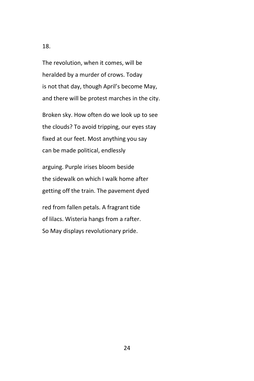The revolution, when it comes, will be heralded by a murder of crows. Today is not that day, though April's become May, and there will be protest marches in the city.

Broken sky. How often do we look up to see the clouds? To avoid tripping, our eyes stay fixed at our feet. Most anything you say can be made political, endlessly

arguing. Purple irises bloom beside the sidewalk on which I walk home after getting off the train. The pavement dyed

red from fallen petals. A fragrant tide of lilacs. Wisteria hangs from a rafter. So May displays revolutionary pride.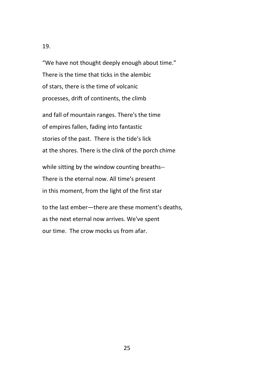"We have not thought deeply enough about time." There is the time that ticks in the alembic of stars, there is the time of volcanic processes, drift of continents, the climb

and fall of mountain ranges. There's the time of empires fallen, fading into fantastic stories of the past. There is the tide's lick at the shores. There is the clink of the porch chime

while sitting by the window counting breaths-- There is the eternal now. All time's present in this moment, from the light of the first star

to the last ember—there are these moment's deaths, as the next eternal now arrives. We've spent our time. The crow mocks us from afar.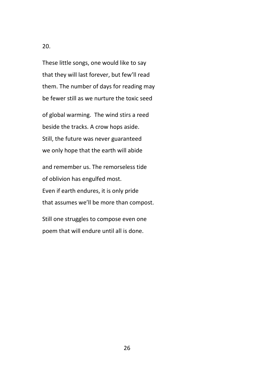These little songs, one would like to say that they will last forever, but few'll read them. The number of days for reading may be fewer still as we nurture the toxic seed

of global warming. The wind stirs a reed beside the tracks. A crow hops aside. Still, the future was never guaranteed we only hope that the earth will abide

and remember us. The remorseless tide of oblivion has engulfed most. Even if earth endures, it is only pride that assumes we'll be more than compost.

Still one struggles to compose even one poem that will endure until all is done.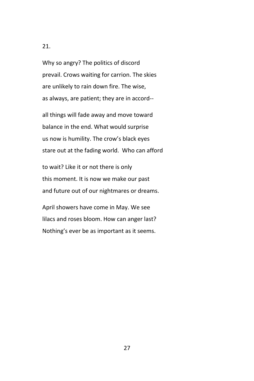Why so angry? The politics of discord prevail. Crows waiting for carrion. The skies are unlikely to rain down fire. The wise, as always, are patient; they are in accord--

all things will fade away and move toward balance in the end. What would surprise us now is humility. The crow's black eyes stare out at the fading world. Who can afford

to wait? Like it or not there is only this moment. It is now we make our past and future out of our nightmares or dreams.

April showers have come in May. We see lilacs and roses bloom. How can anger last? Nothing's ever be as important as it seems.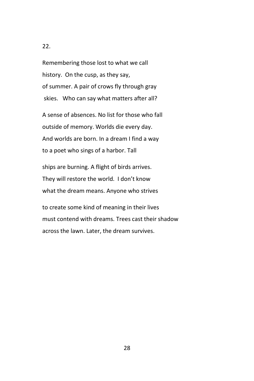Remembering those lost to what we call history. On the cusp, as they say, of summer. A pair of crows fly through gray skies. Who can say what matters after all?

A sense of absences. No list for those who fall outside of memory. Worlds die every day. And worlds are born. In a dream I find a way to a poet who sings of a harbor. Tall

ships are burning. A flight of birds arrives. They will restore the world. I don't know what the dream means. Anyone who strives

to create some kind of meaning in their lives must contend with dreams. Trees cast their shadow across the lawn. Later, the dream survives.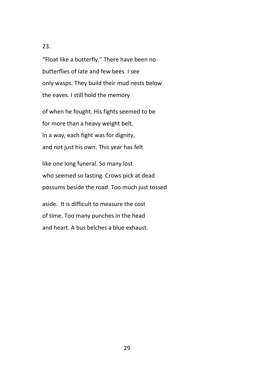"Float like a butterfly." There have been no butterflies of late and few bees. I see only wasps. They build their mud nests below the eaves. I still hold the memory

of when he fought. His fights seemed to be for more than a heavy weight belt. In a way, each fight was for dignity, and not just his own. This year has felt

like one long funeral. So many lost who seemed so lasting. Crows pick at dead possums beside the road. Too much just tossed

aside. It is difficult to measure the cost of time. Too many punches in the head and heart. A bus belches a blue exhaust.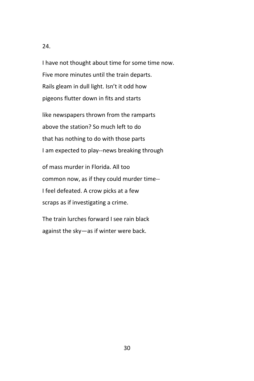I have not thought about time for some time now. Five more minutes until the train departs. Rails gleam in dull light. Isn't it odd how pigeons flutter down in fits and starts

like newspapers thrown from the ramparts above the station? So much left to do that has nothing to do with those parts I am expected to play--news breaking through

of mass murder in Florida. All too common now, as if they could murder time-- I feel defeated. A crow picks at a few scraps as if investigating a crime.

The train lurches forward I see rain black against the sky—as if winter were back.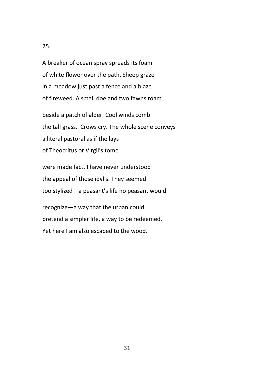A breaker of ocean spray spreads its foam of white flower over the path. Sheep graze in a meadow just past a fence and a blaze of fireweed. A small doe and two fawns roam

beside a patch of alder. Cool winds comb the tall grass. Crows cry. The whole scene conveys a literal pastoral as if the lays of Theocritus or Virgil's tome

were made fact. I have never understood the appeal of those idylls. They seemed too stylized—a peasant's life no peasant would

recognize—a way that the urban could pretend a simpler life, a way to be redeemed. Yet here I am also escaped to the wood.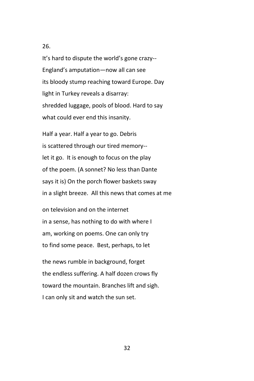It's hard to dispute the world's gone crazy-- England's amputation—now all can see its bloody stump reaching toward Europe. Day light in Turkey reveals a disarray: shredded luggage, pools of blood. Hard to say what could ever end this insanity.

Half a year. Half a year to go. Debris is scattered through our tired memory- let it go. It is enough to focus on the play of the poem. (A sonnet? No less than Dante says it is) On the porch flower baskets sway in a slight breeze. All this news that comes at me

on television and on the internet in a sense, has nothing to do with where I am, working on poems. One can only try to find some peace. Best, perhaps, to let

the news rumble in background, forget the endless suffering. A half dozen crows fly toward the mountain. Branches lift and sigh. I can only sit and watch the sun set.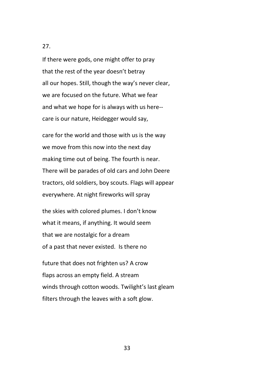If there were gods, one might offer to pray that the rest of the year doesn't betray all our hopes. Still, though the way's never clear, we are focused on the future. What we fear and what we hope for is always with us here- care is our nature, Heidegger would say,

care for the world and those with us is the way we move from this now into the next day making time out of being. The fourth is near. There will be parades of old cars and John Deere tractors, old soldiers, boy scouts. Flags will appear everywhere. At night fireworks will spray

the skies with colored plumes. I don't know what it means, if anything. It would seem that we are nostalgic for a dream of a past that never existed. Is there no

future that does not frighten us? A crow flaps across an empty field. A stream winds through cotton woods. Twilight's last gleam filters through the leaves with a soft glow.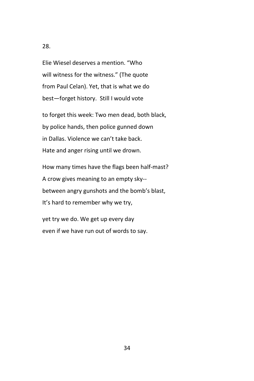Elie Wiesel deserves a mention. "Who will witness for the witness." (The quote from Paul Celan). Yet, that is what we do best—forget history. Still I would vote

to forget this week: Two men dead, both black, by police hands, then police gunned down in Dallas. Violence we can't take back. Hate and anger rising until we drown.

How many times have the flags been half-mast? A crow gives meaning to an empty sky- between angry gunshots and the bomb's blast, It's hard to remember why we try,

yet try we do. We get up every day even if we have run out of words to say.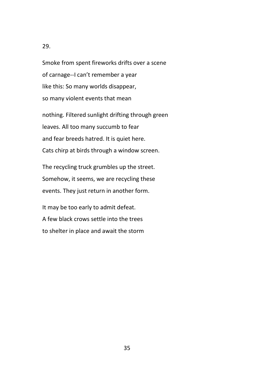Smoke from spent fireworks drifts over a scene of carnage--I can't remember a year like this: So many worlds disappear, so many violent events that mean

nothing. Filtered sunlight drifting through green leaves. All too many succumb to fear and fear breeds hatred. It is quiet here. Cats chirp at birds through a window screen.

The recycling truck grumbles up the street. Somehow, it seems, we are recycling these events. They just return in another form.

It may be too early to admit defeat. A few black crows settle into the trees to shelter in place and await the storm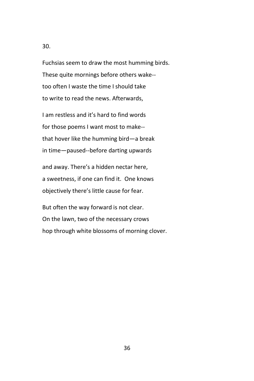Fuchsias seem to draw the most humming birds. These quite mornings before others wake- too often I waste the time I should take to write to read the news. Afterwards,

I am restless and it's hard to find words for those poems I want most to make- that hover like the humming bird—a break in time—paused--before darting upwards

and away. There's a hidden nectar here, a sweetness, if one can find it. One knows objectively there's little cause for fear.

But often the way forward is not clear. On the lawn, two of the necessary crows hop through white blossoms of morning clover.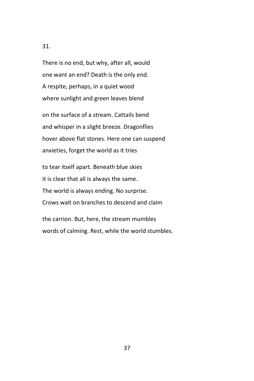There is no end, but why, after all, would one want an end? Death is the only end. A respite, perhaps, in a quiet wood where sunlight and green leaves blend

on the surface of a stream. Cattails bend and whisper in a slight breeze. Dragonflies hover above flat stones. Here one can suspend anxieties, forget the world as it tries

to tear itself apart. Beneath blue skies it is clear that all is always the same. The world is always ending. No surprise. Crows wait on branches to descend and claim

the carrion. But, here, the stream mumbles words of calming. Rest, while the world stumbles.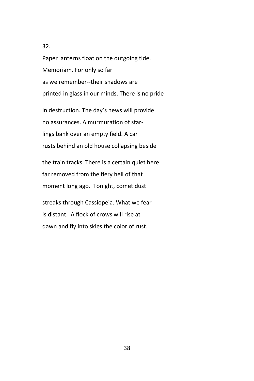Paper lanterns float on the outgoing tide. Memoriam. For only so far as we remember--their shadows are printed in glass in our minds. There is no pride

in destruction. The day's news will provide no assurances. A murmuration of starlings bank over an empty field. A car rusts behind an old house collapsing beside

the train tracks. There is a certain quiet here far removed from the fiery hell of that moment long ago. Tonight, comet dust

streaks through Cassiopeia. What we fear is distant. A flock of crows will rise at dawn and fly into skies the color of rust.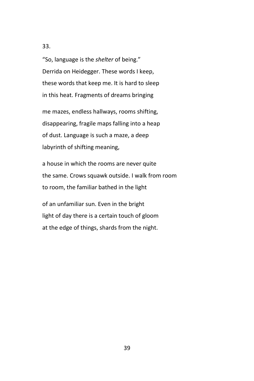"So, language is the *shelter* of being." Derrida on Heidegger. These words I keep, these words that keep me. It is hard to sleep in this heat. Fragments of dreams bringing

me mazes, endless hallways, rooms shifting, disappearing, fragile maps falling into a heap of dust. Language is such a maze, a deep labyrinth of shifting meaning,

a house in which the rooms are never quite the same. Crows squawk outside. I walk from room to room, the familiar bathed in the light

of an unfamiliar sun. Even in the bright light of day there is a certain touch of gloom at the edge of things, shards from the night.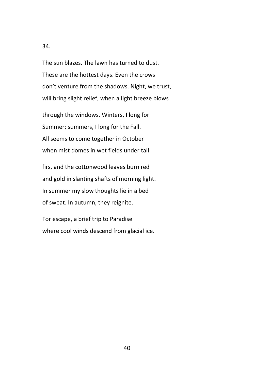The sun blazes. The lawn has turned to dust. These are the hottest days. Even the crows don't venture from the shadows. Night, we trust, will bring slight relief, when a light breeze blows

through the windows. Winters, I long for Summer; summers, I long for the Fall. All seems to come together in October when mist domes in wet fields under tall

firs, and the cottonwood leaves burn red and gold in slanting shafts of morning light. In summer my slow thoughts lie in a bed of sweat. In autumn, they reignite.

For escape, a brief trip to Paradise where cool winds descend from glacial ice.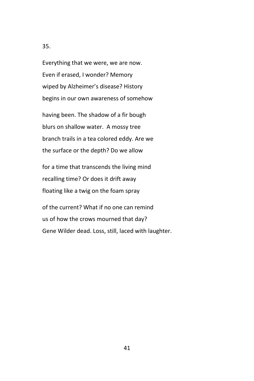Everything that we were, we are now. Even if erased, I wonder? Memory wiped by Alzheimer's disease? History begins in our own awareness of somehow

having been. The shadow of a fir bough blurs on shallow water. A mossy tree branch trails in a tea colored eddy. Are we the surface or the depth? Do we allow

for a time that transcends the living mind recalling time? Or does it drift away floating like a twig on the foam spray

of the current? What if no one can remind us of how the crows mourned that day? Gene Wilder dead. Loss, still, laced with laughter.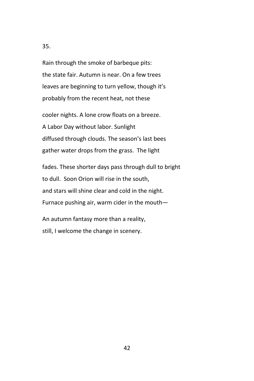Rain through the smoke of barbeque pits: the state fair. Autumn is near. On a few trees leaves are beginning to turn yellow, though it's probably from the recent heat, not these

cooler nights. A lone crow floats on a breeze. A Labor Day without labor. Sunlight diffused through clouds. The season's last bees gather water drops from the grass. The light

fades. These shorter days pass through dull to bright to dull. Soon Orion will rise in the south, and stars will shine clear and cold in the night. Furnace pushing air, warm cider in the mouth—

An autumn fantasy more than a reality, still, I welcome the change in scenery.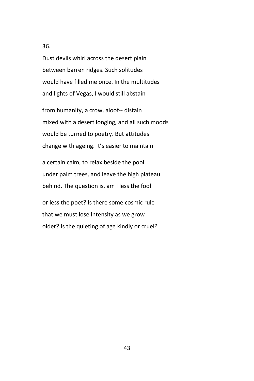Dust devils whirl across the desert plain between barren ridges. Such solitudes would have filled me once. In the multitudes and lights of Vegas, I would still abstain

from humanity, a crow, aloof-- distain mixed with a desert longing, and all such moods would be turned to poetry. But attitudes change with ageing. It's easier to maintain

a certain calm, to relax beside the pool under palm trees, and leave the high plateau behind. The question is, am I less the fool

or less the poet? Is there some cosmic rule that we must lose intensity as we grow older? Is the quieting of age kindly or cruel?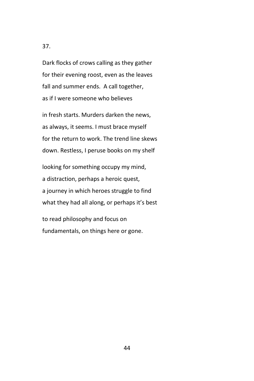Dark flocks of crows calling as they gather for their evening roost, even as the leaves fall and summer ends. A call together, as if I were someone who believes

in fresh starts. Murders darken the news, as always, it seems. I must brace myself for the return to work. The trend line skews down. Restless, I peruse books on my shelf

looking for something occupy my mind, a distraction, perhaps a heroic quest, a journey in which heroes struggle to find what they had all along, or perhaps it's best

to read philosophy and focus on fundamentals, on things here or gone.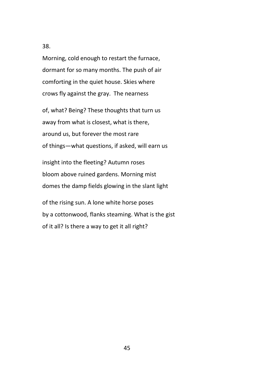Morning, cold enough to restart the furnace, dormant for so many months. The push of air comforting in the quiet house. Skies where crows fly against the gray. The nearness

of, what? Being? These thoughts that turn us away from what is closest, what is there, around us, but forever the most rare of things—what questions, if asked, will earn us

insight into the fleeting? Autumn roses bloom above ruined gardens. Morning mist domes the damp fields glowing in the slant light

of the rising sun. A lone white horse poses by a cottonwood, flanks steaming. What is the gist of it all? Is there a way to get it all right?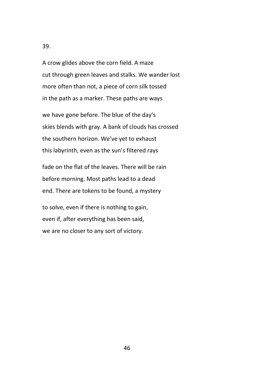A crow glides above the corn field. A maze cut through green leaves and stalks. We wander lost more often than not, a piece of corn silk tossed in the path as a marker. These paths are ways

we have gone before. The blue of the day's skies blends with gray. A bank of clouds has crossed the southern horizon. We've yet to exhaust this labyrinth, even as the sun's filtered rays

fade on the flat of the leaves. There will be rain before morning. Most paths lead to a dead end. There are tokens to be found, a mystery

to solve, even if there is nothing to gain, even if, after everything has been said, we are no closer to any sort of victory.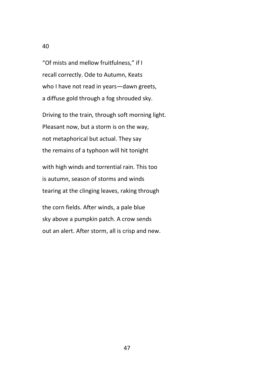"Of mists and mellow fruitfulness," if I recall correctly. Ode to Autumn, Keats who I have not read in years—dawn greets, a diffuse gold through a fog shrouded sky.

Driving to the train, through soft morning light. Pleasant now, but a storm is on the way, not metaphorical but actual. They say the remains of a typhoon will hit tonight

with high winds and torrential rain. This too is autumn, season of storms and winds tearing at the clinging leaves, raking through

the corn fields. After winds, a pale blue sky above a pumpkin patch. A crow sends out an alert. After storm, all is crisp and new.

40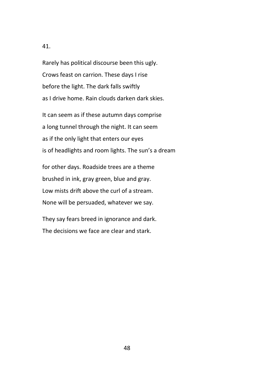Rarely has political discourse been this ugly. Crows feast on carrion. These days I rise before the light. The dark falls swiftly as I drive home. Rain clouds darken dark skies.

It can seem as if these autumn days comprise a long tunnel through the night. It can seem as if the only light that enters our eyes is of headlights and room lights. The sun's a dream

for other days. Roadside trees are a theme brushed in ink, gray green, blue and gray. Low mists drift above the curl of a stream. None will be persuaded, whatever we say.

They say fears breed in ignorance and dark. The decisions we face are clear and stark.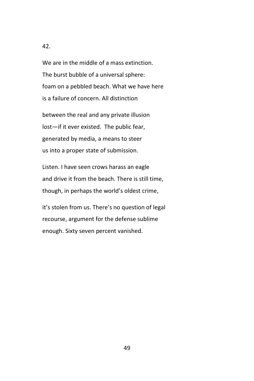We are in the middle of a mass extinction. The burst bubble of a universal sphere: foam on a pebbled beach. What we have here is a failure of concern. All distinction

between the real and any private illusion lost—if it ever existed. The public fear, generated by media, a means to steer us into a proper state of submission.

Listen. I have seen crows harass an eagle and drive it from the beach. There is still time, though, in perhaps the world's oldest crime,

it's stolen from us. There's no question of legal recourse, argument for the defense sublime enough. Sixty seven percent vanished.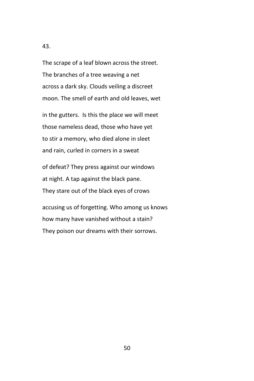The scrape of a leaf blown across the street. The branches of a tree weaving a net across a dark sky. Clouds veiling a discreet moon. The smell of earth and old leaves, wet

in the gutters. Is this the place we will meet those nameless dead, those who have yet to stir a memory, who died alone in sleet and rain, curled in corners in a sweat

of defeat? They press against our windows at night. A tap against the black pane. They stare out of the black eyes of crows

accusing us of forgetting. Who among us knows how many have vanished without a stain? They poison our dreams with their sorrows.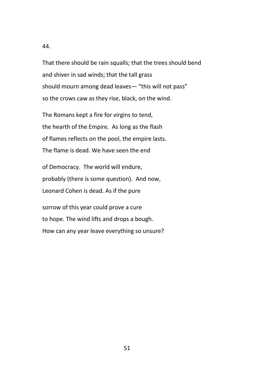That there should be rain squalls; that the trees should bend and shiver in sad winds; that the tall grass should mourn among dead leaves— "this will not pass" so the crows caw as they rise, black, on the wind.

The Romans kept a fire for virgins to tend, the hearth of the Empire. As long as the flash of flames reflects on the pool, the empire lasts. The flame is dead. We have seen the end

of Democracy. The world will endure, probably (there is some question). And now, Leonard Cohen is dead. As if the pure

sorrow of this year could prove a cure to hope. The wind lifts and drops a bough. How can any year leave everything so unsure?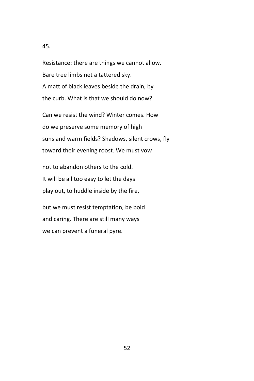Resistance: there are things we cannot allow. Bare tree limbs net a tattered sky. A matt of black leaves beside the drain, by the curb. What is that we should do now?

Can we resist the wind? Winter comes. How do we preserve some memory of high suns and warm fields? Shadows, silent crows, fly toward their evening roost. We must vow

not to abandon others to the cold. It will be all too easy to let the days play out, to huddle inside by the fire,

but we must resist temptation, be bold and caring. There are still many ways we can prevent a funeral pyre.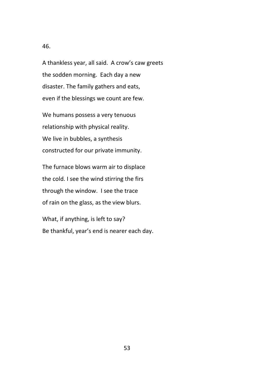A thankless year, all said. A crow's caw greets the sodden morning. Each day a new disaster. The family gathers and eats, even if the blessings we count are few.

We humans possess a very tenuous relationship with physical reality. We live in bubbles, a synthesis constructed for our private immunity.

The furnace blows warm air to displace the cold. I see the wind stirring the firs through the window. I see the trace of rain on the glass, as the view blurs.

What, if anything, is left to say? Be thankful, year's end is nearer each day.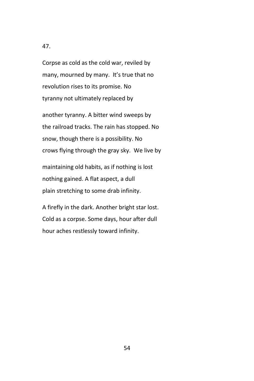Corpse as cold as the cold war, reviled by many, mourned by many. It's true that no revolution rises to its promise. No tyranny not ultimately replaced by

another tyranny. A bitter wind sweeps by the railroad tracks. The rain has stopped. No snow, though there is a possibility. No crows flying through the gray sky. We live by

maintaining old habits, as if nothing is lost nothing gained. A flat aspect, a dull plain stretching to some drab infinity.

A firefly in the dark. Another bright star lost. Cold as a corpse. Some days, hour after dull hour aches restlessly toward infinity.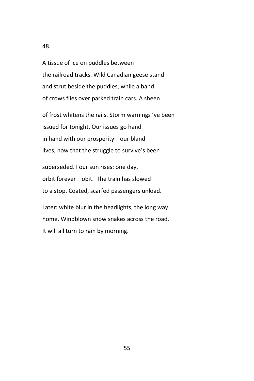A tissue of ice on puddles between the railroad tracks. Wild Canadian geese stand and strut beside the puddles, while a band of crows flies over parked train cars. A sheen

of frost whitens the rails. Storm warnings 've been issued for tonight. Our issues go hand in hand with our prosperity—our bland lives, now that the struggle to survive's been

superseded. Four sun rises: one day, orbit forever—obit. The train has slowed to a stop. Coated, scarfed passengers unload.

Later: white blur in the headlights, the long way home. Windblown snow snakes across the road. It will all turn to rain by morning.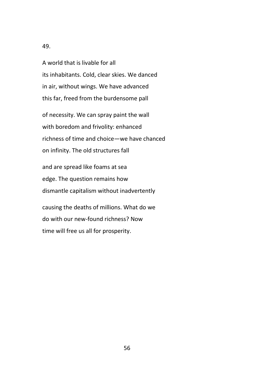A world that is livable for all its inhabitants. Cold, clear skies. We danced in air, without wings. We have advanced this far, freed from the burdensome pall

of necessity. We can spray paint the wall with boredom and frivolity: enhanced richness of time and choice—we have chanced on infinity. The old structures fall

and are spread like foams at sea edge. The question remains how dismantle capitalism without inadvertently

causing the deaths of millions. What do we do with our new-found richness? Now time will free us all for prosperity.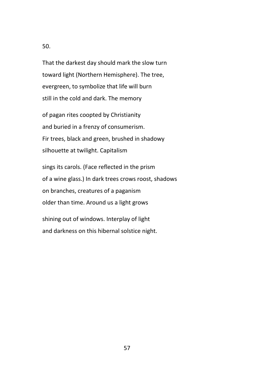That the darkest day should mark the slow turn toward light (Northern Hemisphere). The tree, evergreen, to symbolize that life will burn still in the cold and dark. The memory

of pagan rites coopted by Christianity and buried in a frenzy of consumerism. Fir trees, black and green, brushed in shadowy silhouette at twilight. Capitalism

sings its carols. (Face reflected in the prism of a wine glass.) In dark trees crows roost, shadows on branches, creatures of a paganism older than time. Around us a light grows

shining out of windows. Interplay of light and darkness on this hibernal solstice night.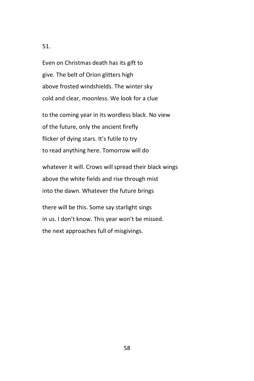Even on Christmas death has its gift to give. The belt of Orion glitters high above frosted windshields. The winter sky cold and clear, moonless. We look for a clue

to the coming year in its wordless black. No view of the future, only the ancient firefly flicker of dying stars. It's futile to try to read anything here. Tomorrow will do

whatever it will. Crows will spread their black wings above the white fields and rise through mist into the dawn. Whatever the future brings

there will be this. Some say starlight sings in us. I don't know. This year won't be missed. the next approaches full of misgivings.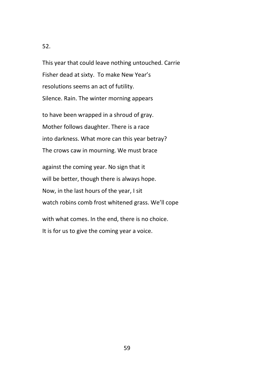This year that could leave nothing untouched. Carrie Fisher dead at sixty. To make New Year's resolutions seems an act of futility. Silence. Rain. The winter morning appears

to have been wrapped in a shroud of gray. Mother follows daughter. There is a race into darkness. What more can this year betray? The crows caw in mourning. We must brace

against the coming year. No sign that it will be better, though there is always hope. Now, in the last hours of the year, I sit watch robins comb frost whitened grass. We'll cope

with what comes. In the end, there is no choice. It is for us to give the coming year a voice.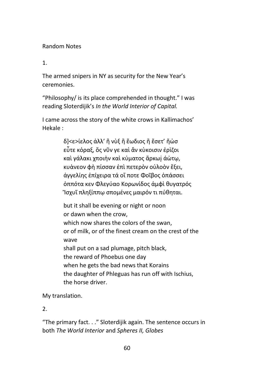## Random Notes

1.

The armed snipers in NY as security for the New Year's ceremonies.

"Philosophy/ is its place comprehended in thought." I was reading Sloterdijik's *In the World Interior of Capital.*

I came across the story of the white crows in Kallimachos' Hekale :

> δ]<ε>ίελος άλλ' ἢ νὺξ ἢ ἔωδιος ἢ ἔσετ' ἤώσ εὖτε κὀραξ, ὄς νῦν γε καὶ ἄν κὺκοισιν ἐρὶζοι καὶ γάλακι χποιὴν καὶ κὐματος ἄρκωį άὼτῳ, κυὰνεον φὴ πίσσαν ἐπὶ πετερὸν οὐλοὸν ἕξει, ἀγγελίης ἐπίχειρα τά οἴ ποτε Φοῖβος ὀπάσσει ὀππότα κεν Φλεγύαο Κορωνίδος ἀμφὶ θυγατρός Ἲσχυῖ πληξίππῳ σπομένες μαιρόν τι πύθηται.

but it shall be evening or night or noon or dawn when the crow, which now shares the colors of the swan, or of milk, or of the finest cream on the crest of the wave shall put on a sad plumage, pitch black, the reward of Phoebus one day when he gets the bad news that Korains the daughter of Phleguas has run off with Ischius, the horse driver.

My translation.

2.

"The primary fact. . ." Sloterdijik again. The sentence occurs in both *The World Interior* and *Spheres II, Globes*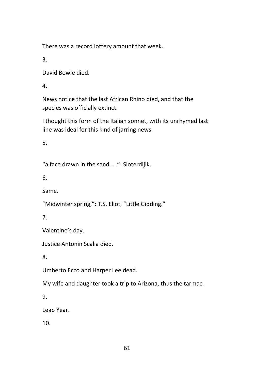There was a record lottery amount that week.

3.

David Bowie died.

4.

News notice that the last African Rhino died, and that the species was officially extinct.

I thought this form of the Italian sonnet, with its unrhymed last line was ideal for this kind of jarring news.

5.

"a face drawn in the sand. . .": Sloterdijik.

6.

Same.

"Midwinter spring,": T.S. Eliot, "Little Gidding."

7.

Valentine's day.

Justice Antonin Scalia died.

8.

Umberto Ecco and Harper Lee dead.

My wife and daughter took a trip to Arizona, thus the tarmac.

9.

Leap Year.

10.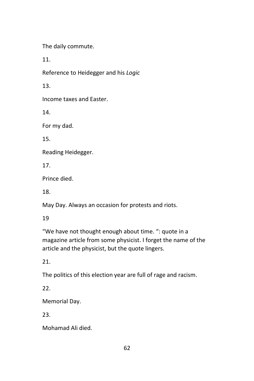The daily commute.

11.

Reference to Heidegger and his *Logic*

13.

Income taxes and Easter.

14.

For my dad.

15.

Reading Heidegger.

17.

Prince died.

18.

May Day. Always an occasion for protests and riots.

19

"We have not thought enough about time. ": quote in a magazine article from some physicist. I forget the name of the article and the physicist, but the quote lingers.

21.

The politics of this election year are full of rage and racism.

22.

Memorial Day.

23.

Mohamad Ali died.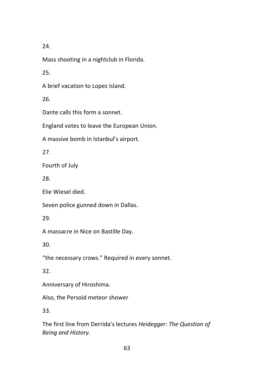Mass shooting in a nightclub in Florida.

25.

A brief vacation to Lopez island.

26.

Dante calls this form a sonnet.

England votes to leave the European Union.

A massive bomb in Istanbul's airport.

27.

Fourth of July

28.

Elie Wiesel died.

Seven police gunned down in Dallas.

29.

A massacre in Nice on Bastille Day.

30.

"the necessary crows." Required in every sonnet.

32.

Anniversary of Hiroshima.

Also, the Persoid meteor shower

33.

The first line from Derrida's lectures *Heidegger: The Question of Being and History.*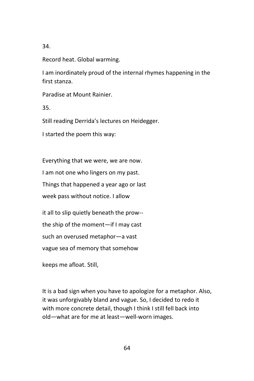Record heat. Global warming.

I am inordinately proud of the internal rhymes happening in the first stanza.

Paradise at Mount Rainier.

35.

Still reading Derrida's lectures on Heidegger.

I started the poem this way:

Everything that we were, we are now.

I am not one who lingers on my past.

Things that happened a year ago or last

week pass without notice. I allow

it all to slip quietly beneath the prow--

the ship of the moment—if I may cast

such an overused metaphor—a vast

vague sea of memory that somehow

keeps me afloat. Still,

It is a bad sign when you have to apologize for a metaphor. Also, it was unforgivably bland and vague. So, I decided to redo it with more concrete detail, though I think I still fell back into old—what are for me at least—well-worn images.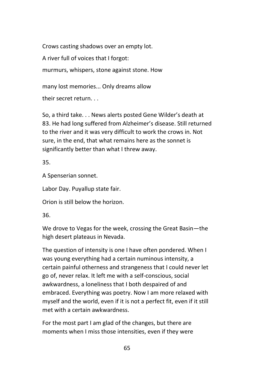Crows casting shadows over an empty lot.

A river full of voices that I forgot:

murmurs, whispers, stone against stone. How

many lost memories... Only dreams allow

their secret return. . .

So, a third take. . . News alerts posted Gene Wilder's death at 83. He had long suffered from Alzheimer's disease. Still returned to the river and it was very difficult to work the crows in. Not sure, in the end, that what remains here as the sonnet is significantly better than what I threw away.

35.

A Spenserian sonnet.

Labor Day. Puyallup state fair.

Orion is still below the horizon.

36.

We drove to Vegas for the week, crossing the Great Basin—the high desert plateaus in Nevada.

The question of intensity is one I have often pondered. When I was young everything had a certain numinous intensity, a certain painful otherness and strangeness that I could never let go of, never relax. It left me with a self-conscious, social awkwardness, a loneliness that I both despaired of and embraced. Everything was poetry. Now I am more relaxed with myself and the world, even if it is not a perfect fit, even if it still met with a certain awkwardness.

For the most part I am glad of the changes, but there are moments when I miss those intensities, even if they were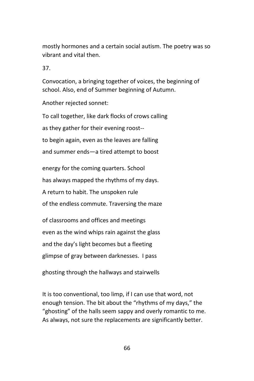mostly hormones and a certain social autism. The poetry was so vibrant and vital then.

37.

Convocation, a bringing together of voices, the beginning of school. Also, end of Summer beginning of Autumn.

Another rejected sonnet:

To call together, like dark flocks of crows calling as they gather for their evening roost- to begin again, even as the leaves are falling and summer ends—a tired attempt to boost

energy for the coming quarters. School has always mapped the rhythms of my days. A return to habit. The unspoken rule of the endless commute. Traversing the maze

of classrooms and offices and meetings even as the wind whips rain against the glass and the day's light becomes but a fleeting glimpse of gray between darknesses. I pass

ghosting through the hallways and stairwells

It is too conventional, too limp, if I can use that word, not enough tension. The bit about the "rhythms of my days," the "ghosting" of the halls seem sappy and overly romantic to me. As always, not sure the replacements are significantly better.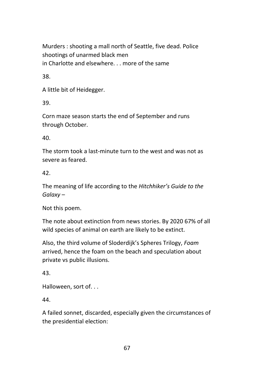Murders : shooting a mall north of Seattle, five dead. Police shootings of unarmed black men in Charlotte and elsewhere. . . more of the same

38.

A little bit of Heidegger.

39.

Corn maze season starts the end of September and runs through October.

40.

The storm took a last-minute turn to the west and was not as severe as feared.

42.

The meaning of life according to the *Hitchhiker's Guide to the Galaxy* –

Not this poem.

The note about extinction from news stories. By 2020 67% of all wild species of animal on earth are likely to be extinct.

Also, the third volume of Sloderdijk's Spheres Trilogy, *Foam* arrived, hence the foam on the beach and speculation about private vs public illusions.

43.

Halloween, sort of. . .

44.

A failed sonnet, discarded, especially given the circumstances of the presidential election: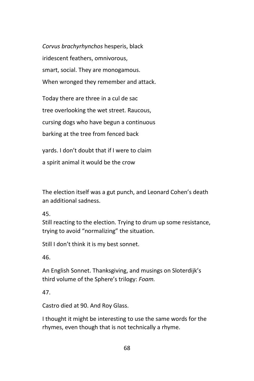*Corvus brachyrhynchos* hesperis, black iridescent feathers, omnivorous, smart, social. They are monogamous. When wronged they remember and attack.

Today there are three in a cul de sac tree overlooking the wet street. Raucous, cursing dogs who have begun a continuous barking at the tree from fenced back

yards. I don't doubt that if I were to claim a spirit animal it would be the crow

The election itself was a gut punch, and Leonard Cohen's death an additional sadness.

45.

Still reacting to the election. Trying to drum up some resistance, trying to avoid "normalizing" the situation.

Still I don't think it is my best sonnet.

46.

An English Sonnet. Thanksgiving, and musings on Sloterdijk's third volume of the Sphere's trilogy: *Foam.*

47.

Castro died at 90. And Roy Glass.

I thought it might be interesting to use the same words for the rhymes, even though that is not technically a rhyme.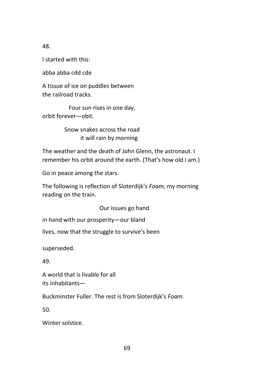I started with this:

abba abba cdd cde

A tissue of ice on puddles between the railroad tracks.

 Four sun rises in one day, orbit forever—obit.

> Snow snakes across the road it will rain by morning

The weather and the death of John Glenn, the astronaut. I remember his orbit around the earth. (That's how old I am.)

Go in peace among the stars.

The following is reflection of Sloterdijk's *Foam,* my morning reading on the train.

Our issues go hand

in hand with our prosperity—our bland

lives, now that the struggle to survive's been

superseded.

49.

A world that is livable for all its inhabitants—

Buckminster Fuller. The rest is from Sloterdijk's *Foam.*

50.

Winter solstice.